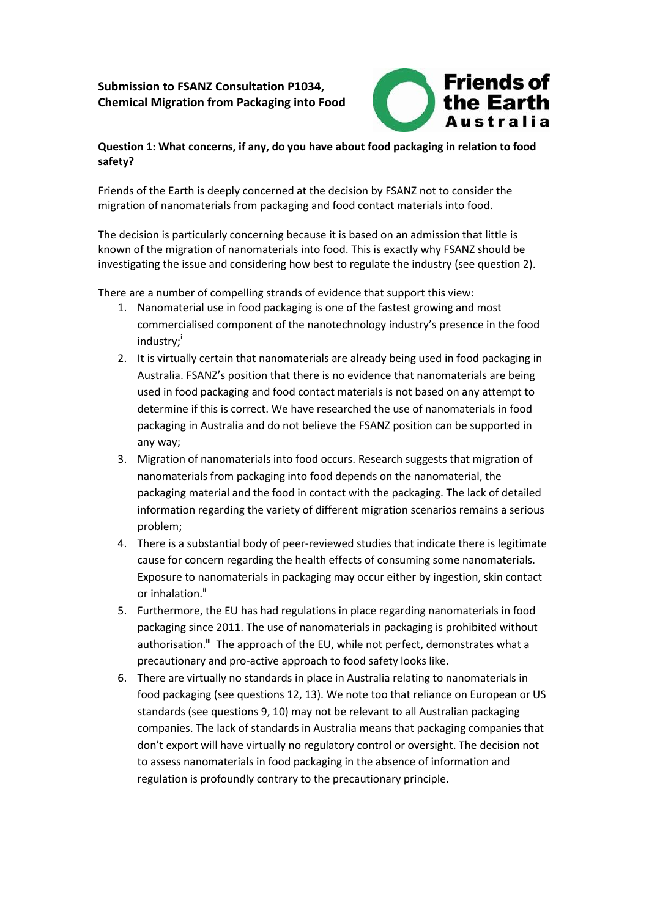# **Submission to FSANZ Consultation P1034, Chemical Migration from Packaging into Food**



## **Question 1: What concerns, if any, do you have about food packaging in relation to food safety?**

Friends of the Earth is deeply concerned at the decision by FSANZ not to consider the migration of nanomaterials from packaging and food contact materials into food.

The decision is particularly concerning because it is based on an admission that little is known of the migration of nanomaterials into food. This is exactly why FSANZ should be investigating the issue and considering how best to regulate the industry (see question 2).

There are a number of compelling strands of evidence that support this view:

- 1. Nanomaterial use in food packaging is one of the fastest growing and most commercialised component of the nanotechnology industry's presence in the food industry;
- 2. It is virtually certain that nanomaterials are already being used in food packaging in Australia. FSANZ's position that there is no evidence that nanomaterials are being used in food packaging and food contact materials is not based on any attempt to determine if this is correct. We have researched the use of nanomaterials in food packaging in Australia and do not believe the FSANZ position can be supported in any way;
- 3. Migration of nanomaterials into food occurs. Research suggests that migration of nanomaterials from packaging into food depends on the nanomaterial, the packaging material and the food in contact with the packaging. The lack of detailed information regarding the variety of different migration scenarios remains a serious problem;
- 4. There is a substantial body of peer-reviewed studies that indicate there is legitimate cause for concern regarding the health effects of consuming some nanomaterials. Exposure to nanomaterials in packaging may occur either by ingestion, skin contact or inhalation.<sup>ii</sup>
- 5. Furthermore, the EU has had regulations in place regarding nanomaterials in food packaging since 2011. The use of nanomaterials in packaging is prohibited without authorisation.<sup>iii</sup> The approach of the EU, while not perfect, demonstrates what a precautionary and pro-active approach to food safety looks like.
- 6. There are virtually no standards in place in Australia relating to nanomaterials in food packaging (see questions 12, 13). We note too that reliance on European or US standards (see questions 9, 10) may not be relevant to all Australian packaging companies. The lack of standards in Australia means that packaging companies that don't export will have virtually no regulatory control or oversight. The decision not to assess nanomaterials in food packaging in the absence of information and regulation is profoundly contrary to the precautionary principle.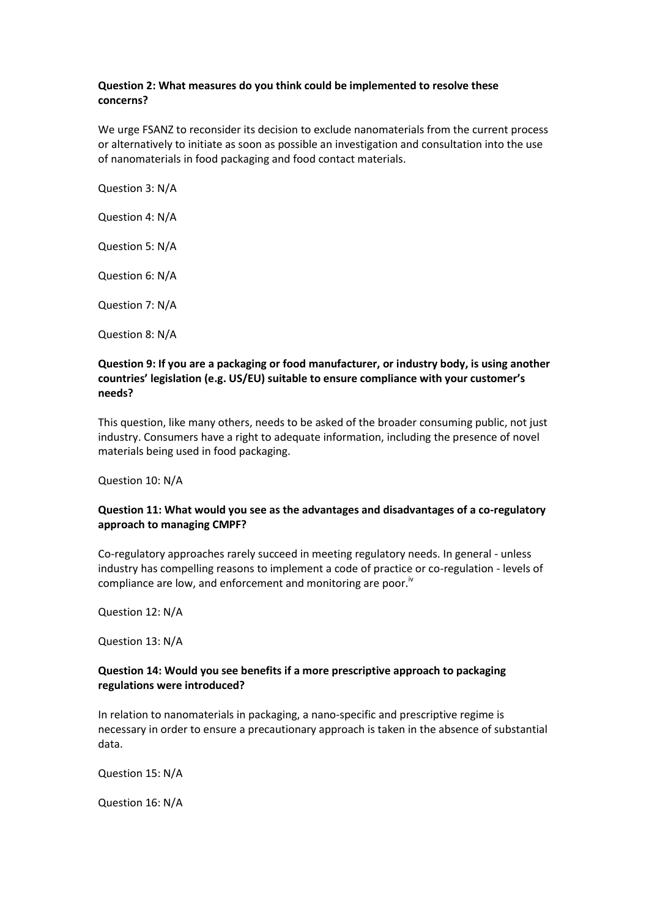### **Question 2: What measures do you think could be implemented to resolve these concerns?**

We urge FSANZ to reconsider its decision to exclude nanomaterials from the current process or alternatively to initiate as soon as possible an investigation and consultation into the use of nanomaterials in food packaging and food contact materials.

Question 3: N/A

Question 4: N/A

Question 5: N/A

Question 6: N/A

Question 7: N/A

Question 8: N/A

### **Question 9: If you are a packaging or food manufacturer, or industry body, is using another countries' legislation (e.g. US/EU) suitable to ensure compliance with your customer's needs?**

This question, like many others, needs to be asked of the broader consuming public, not just industry. Consumers have a right to adequate information, including the presence of novel materials being used in food packaging.

Question 10: N/A

### **Question 11: What would you see as the advantages and disadvantages of a co-regulatory approach to managing CMPF?**

Co-regulatory approaches rarely succeed in meeting regulatory needs. In general - unless industry has compelling reasons to implement a code of practice or co-regulation - levels of compliance are low, and enforcement and monitoring are poor. $\frac{1}{10}$ 

Question 12: N/A

Question 13: N/A

### **Question 14: Would you see benefits if a more prescriptive approach to packaging regulations were introduced?**

In relation to nanomaterials in packaging, a nano-specific and prescriptive regime is necessary in order to ensure a precautionary approach is taken in the absence of substantial data.

Question 15: N/A

Question 16: N/A